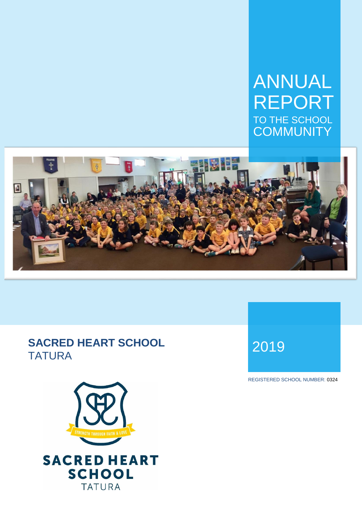## ANNUAL REPORT TO THE SCHOOL **COMMUNITY**



# **SACRED HEART SCHOOL** TATURA <sup>2019</sup>



REGISTERED SCHOOL NUMBER: 0324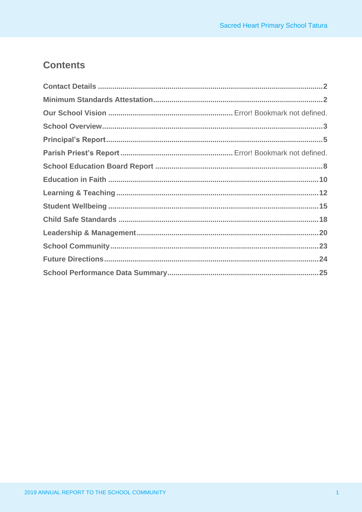## **Contents**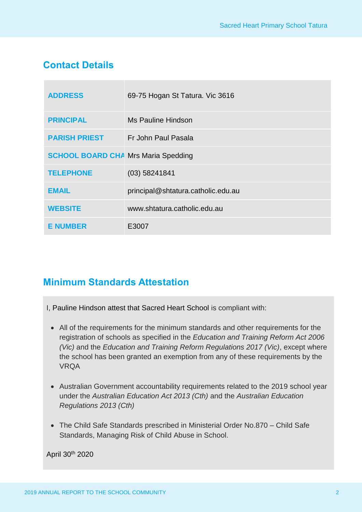## **Contact Details**

| <b>ADDRESS</b>                             | 69-75 Hogan St Tatura. Vic 3616    |
|--------------------------------------------|------------------------------------|
| <b>PRINCIPAL</b>                           | Ms Pauline Hindson                 |
| <b>PARISH PRIEST</b>                       | Fr John Paul Pasala                |
| <b>SCHOOL BOARD CHA Mrs Maria Spedding</b> |                                    |
| <b>TELEPHONE</b>                           | $(03)$ 58241841                    |
| <b>EMAIL</b>                               | principal@shtatura.catholic.edu.au |
| <b>WEBSITE</b>                             | www.shtatura.catholic.edu.au       |
| <b>E NUMBER</b>                            | E3007                              |

## **Minimum Standards Attestation**

- I, Pauline Hindson attest that Sacred Heart School is compliant with:
	- All of the requirements for the minimum standards and other requirements for the registration of schools as specified in the *Education and Training Reform Act 2006 (Vic)* and the *Education and Training Reform Regulations 2017 (Vic)*, except where the school has been granted an exemption from any of these requirements by the VRQA
	- Australian Government accountability requirements related to the 2019 school year under the *Australian Education Act 2013 (Cth)* and the *Australian Education Regulations 2013 (Cth)*
	- The Child Safe Standards prescribed in Ministerial Order No.870 Child Safe Standards, Managing Risk of Child Abuse in School.

April 30th 2020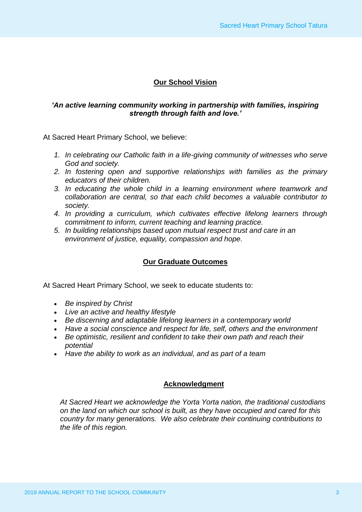### **Our School Vision**

#### *'An active learning community working in partnership with families, inspiring strength through faith and love.'*

At Sacred Heart Primary School, we believe:

- *1. In celebrating our Catholic faith in a life-giving community of witnesses who serve God and society.*
- *2. In fostering open and supportive relationships with families as the primary educators of their children.*
- *3. In educating the whole child in a learning environment where teamwork and collaboration are central, so that each child becomes a valuable contributor to society.*
- *4. In providing a curriculum, which cultivates effective lifelong learners through commitment to inform, current teaching and learning practice.*
- *5. In building relationships based upon mutual respect trust and care in an environment of justice, equality, compassion and hope.*

#### **Our Graduate Outcomes**

At Sacred Heart Primary School, we seek to educate students to:

- *Be inspired by Christ*
- *Live an active and healthy lifestyle*
- *Be discerning and adaptable lifelong learners in a contemporary world*
- *Have a social conscience and respect for life, self, others and the environment*
- *Be optimistic, resilient and confident to take their own path and reach their potential*
- *Have the ability to work as an individual, and as part of a team*

#### **Acknowledgment**

*At Sacred Heart we acknowledge the Yorta Yorta nation, the traditional custodians on the land on which our school is built, as they have occupied and cared for this country for many generations. We also celebrate their continuing contributions to the life of this region.*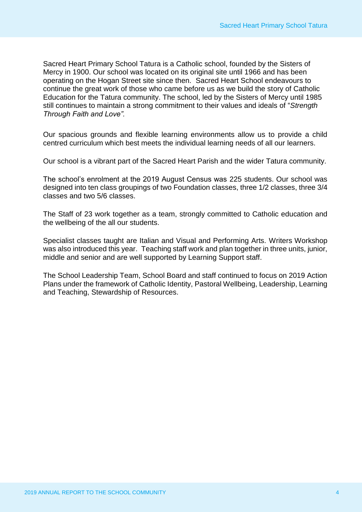Sacred Heart Primary School Tatura is a Catholic school, founded by the Sisters of Mercy in 1900. Our school was located on its original site until 1966 and has been operating on the Hogan Street site since then. Sacred Heart School endeavours to continue the great work of those who came before us as we build the story of Catholic Education for the Tatura community. The school, led by the Sisters of Mercy until 1985 still continues to maintain a strong commitment to their values and ideals of "*Strength Through Faith and Love".*

Our spacious grounds and flexible learning environments allow us to provide a child centred curriculum which best meets the individual learning needs of all our learners.

Our school is a vibrant part of the Sacred Heart Parish and the wider Tatura community.

The school's enrolment at the 2019 August Census was 225 students. Our school was designed into ten class groupings of two Foundation classes, three 1/2 classes, three 3/4 classes and two 5/6 classes.

The Staff of 23 work together as a team, strongly committed to Catholic education and the wellbeing of the all our students.

Specialist classes taught are Italian and Visual and Performing Arts. Writers Workshop was also introduced this year. Teaching staff work and plan together in three units, junior, middle and senior and are well supported by Learning Support staff.

The School Leadership Team, School Board and staff continued to focus on 2019 Action Plans under the framework of Catholic Identity, Pastoral Wellbeing, Leadership, Learning and Teaching, Stewardship of Resources.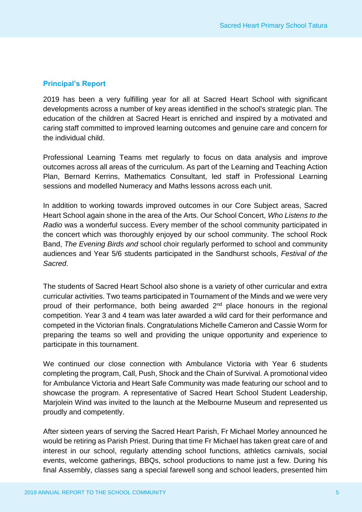#### **Principal's Report**

2019 has been a very fulfilling year for all at Sacred Heart School with significant developments across a number of key areas identified in the school's strategic plan. The education of the children at Sacred Heart is enriched and inspired by a motivated and caring staff committed to improved learning outcomes and genuine care and concern for the individual child.

Professional Learning Teams met regularly to focus on data analysis and improve outcomes across all areas of the curriculum. As part of the Learning and Teaching Action Plan, Bernard Kerrins, Mathematics Consultant, led staff in Professional Learning sessions and modelled Numeracy and Maths lessons across each unit.

In addition to working towards improved outcomes in our Core Subject areas, Sacred Heart School again shone in the area of the Arts. Our School Concert, *Who Listens to the Radio* was a wonderful success. Every member of the school community participated in the concert which was thoroughly enjoyed by our school community. The school Rock Band, *The Evening Birds and* school choir regularly performed to school and community audiences and Year 5/6 students participated in the Sandhurst schools, *Festival of the Sacred*.

The students of Sacred Heart School also shone is a variety of other curricular and extra curricular activities. Two teams participated in Tournament of the Minds and we were very proud of their performance, both being awarded 2<sup>nd</sup> place honours in the regional competition. Year 3 and 4 team was later awarded a wild card for their performance and competed in the Victorian finals. Congratulations Michelle Cameron and Cassie Worm for preparing the teams so well and providing the unique opportunity and experience to participate in this tournament.

We continued our close connection with Ambulance Victoria with Year 6 students completing the program, Call, Push, Shock and the Chain of Survival. A promotional video for Ambulance Victoria and Heart Safe Community was made featuring our school and to showcase the program. A representative of Sacred Heart School Student Leadership, Marjolein Wind was invited to the launch at the Melbourne Museum and represented us proudly and competently.

After sixteen years of serving the Sacred Heart Parish, Fr Michael Morley announced he would be retiring as Parish Priest. During that time Fr Michael has taken great care of and interest in our school, regularly attending school functions, athletics carnivals, social events, welcome gatherings, BBQs, school productions to name just a few. During his final Assembly, classes sang a special farewell song and school leaders, presented him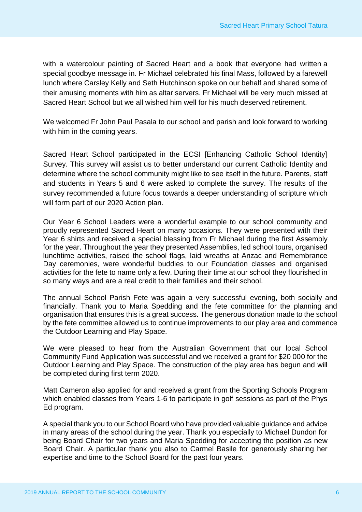with a watercolour painting of Sacred Heart and a book that everyone had written a special goodbye message in. Fr Michael celebrated his final Mass, followed by a farewell lunch where Carsley Kelly and Seth Hutchinson spoke on our behalf and shared some of their amusing moments with him as altar servers. Fr Michael will be very much missed at Sacred Heart School but we all wished him well for his much deserved retirement.

We welcomed Fr John Paul Pasala to our school and parish and look forward to working with him in the coming years.

Sacred Heart School participated in the ECSI [Enhancing Catholic School Identity] Survey. This survey will assist us to better understand our current Catholic Identity and determine where the school community might like to see itself in the future. Parents, staff and students in Years 5 and 6 were asked to complete the survey. The results of the survey recommended a future focus towards a deeper understanding of scripture which will form part of our 2020 Action plan.

Our Year 6 School Leaders were a wonderful example to our school community and proudly represented Sacred Heart on many occasions. They were presented with their Year 6 shirts and received a special blessing from Fr Michael during the first Assembly for the year. Throughout the year they presented Assemblies, led school tours, organised lunchtime activities, raised the school flags, laid wreaths at Anzac and Remembrance Day ceremonies, were wonderful buddies to our Foundation classes and organised activities for the fete to name only a few. During their time at our school they flourished in so many ways and are a real credit to their families and their school.

The annual School Parish Fete was again a very successful evening, both socially and financially. Thank you to Maria Spedding and the fete committee for the planning and organisation that ensures this is a great success. The generous donation made to the school by the fete committee allowed us to continue improvements to our play area and commence the Outdoor Learning and Play Space.

We were pleased to hear from the Australian Government that our local School Community Fund Application was successful and we received a grant for \$20 000 for the Outdoor Learning and Play Space. The construction of the play area has begun and will be completed during first term 2020.

Matt Cameron also applied for and received a grant from the Sporting Schools Program which enabled classes from Years 1-6 to participate in golf sessions as part of the Phys Ed program.

A special thank you to our School Board who have provided valuable guidance and advice in many areas of the school during the year. Thank you especially to Michael Dundon for being Board Chair for two years and Maria Spedding for accepting the position as new Board Chair. A particular thank you also to Carmel Basile for generously sharing her expertise and time to the School Board for the past four years.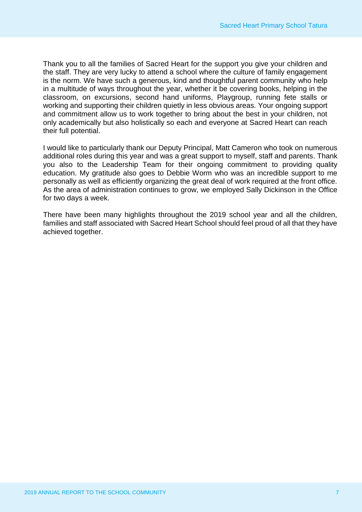Thank you to all the families of Sacred Heart for the support you give your children and the staff. They are very lucky to attend a school where the culture of family engagement is the norm. We have such a generous, kind and thoughtful parent community who help in a multitude of ways throughout the year, whether it be covering books, helping in the classroom, on excursions, second hand uniforms, Playgroup, running fete stalls or working and supporting their children quietly in less obvious areas. Your ongoing support and commitment allow us to work together to bring about the best in your children, not only academically but also holistically so each and everyone at Sacred Heart can reach their full potential.

I would like to particularly thank our Deputy Principal, Matt Cameron who took on numerous additional roles during this year and was a great support to myself, staff and parents. Thank you also to the Leadership Team for their ongoing commitment to providing quality education. My gratitude also goes to Debbie Worm who was an incredible support to me personally as well as efficiently organizing the great deal of work required at the front office. As the area of administration continues to grow, we employed Sally Dickinson in the Office for two days a week.

There have been many highlights throughout the 2019 school year and all the children, families and staff associated with Sacred Heart School should feel proud of all that they have achieved together.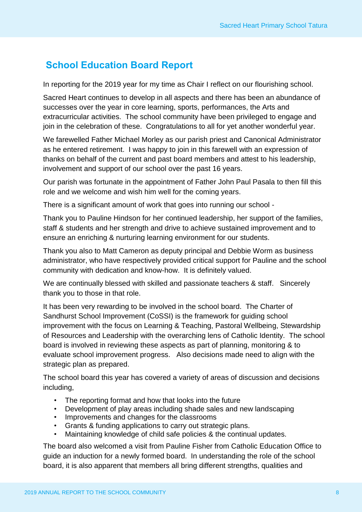## **School Education Board Report**

In reporting for the 2019 year for my time as Chair I reflect on our flourishing school.

Sacred Heart continues to develop in all aspects and there has been an abundance of successes over the year in core learning, sports, performances, the Arts and extracurricular activities. The school community have been privileged to engage and join in the celebration of these. Congratulations to all for yet another wonderful year.

We farewelled Father Michael Morley as our parish priest and Canonical Administrator as he entered retirement. I was happy to join in this farewell with an expression of thanks on behalf of the current and past board members and attest to his leadership, involvement and support of our school over the past 16 years.

Our parish was fortunate in the appointment of Father John Paul Pasala to then fill this role and we welcome and wish him well for the coming years.

There is a significant amount of work that goes into running our school -

Thank you to Pauline Hindson for her continued leadership, her support of the families, staff & students and her strength and drive to achieve sustained improvement and to ensure an enriching & nurturing learning environment for our students.

Thank you also to Matt Cameron as deputy principal and Debbie Worm as business administrator, who have respectively provided critical support for Pauline and the school community with dedication and know-how. It is definitely valued.

We are continually blessed with skilled and passionate teachers & staff. Sincerely thank you to those in that role.

It has been very rewarding to be involved in the school board. The Charter of Sandhurst School Improvement (CoSSI) is the framework for guiding school improvement with the focus on Learning & Teaching, Pastoral Wellbeing, Stewardship of Resources and Leadership with the overarching lens of Catholic Identity. The school board is involved in reviewing these aspects as part of planning, monitoring & to evaluate school improvement progress. Also decisions made need to align with the strategic plan as prepared.

The school board this year has covered a variety of areas of discussion and decisions including,

- The reporting format and how that looks into the future
- Development of play areas including shade sales and new landscaping
- Improvements and changes for the classrooms
- Grants & funding applications to carry out strategic plans.
- Maintaining knowledge of child safe policies & the continual updates.

The board also welcomed a visit from Pauline Fisher from Catholic Education Office to guide an induction for a newly formed board. In understanding the role of the school board, it is also apparent that members all bring different strengths, qualities and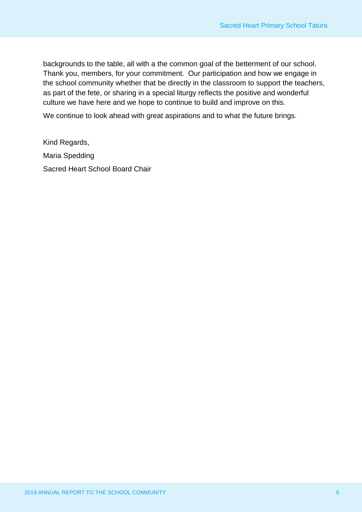backgrounds to the table, all with a the common goal of the betterment of our school. Thank you, members, for your commitment. Our participation and how we engage in the school community whether that be directly in the classroom to support the teachers, as part of the fete, or sharing in a special liturgy reflects the positive and wonderful culture we have here and we hope to continue to build and improve on this.

We continue to look ahead with great aspirations and to what the future brings.

Kind Regards, Maria Spedding Sacred Heart School Board Chair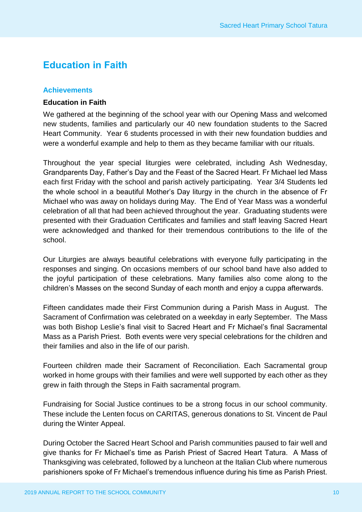## **Education in Faith**

#### **Achievements**

#### **Education in Faith**

We gathered at the beginning of the school year with our Opening Mass and welcomed new students, families and particularly our 40 new foundation students to the Sacred Heart Community. Year 6 students processed in with their new foundation buddies and were a wonderful example and help to them as they became familiar with our rituals.

Throughout the year special liturgies were celebrated, including Ash Wednesday, Grandparents Day, Father's Day and the Feast of the Sacred Heart. Fr Michael led Mass each first Friday with the school and parish actively participating. Year 3/4 Students led the whole school in a beautiful Mother's Day liturgy in the church in the absence of Fr Michael who was away on holidays during May. The End of Year Mass was a wonderful celebration of all that had been achieved throughout the year. Graduating students were presented with their Graduation Certificates and families and staff leaving Sacred Heart were acknowledged and thanked for their tremendous contributions to the life of the school.

Our Liturgies are always beautiful celebrations with everyone fully participating in the responses and singing. On occasions members of our school band have also added to the joyful participation of these celebrations. Many families also come along to the children's Masses on the second Sunday of each month and enjoy a cuppa afterwards.

Fifteen candidates made their First Communion during a Parish Mass in August. The Sacrament of Confirmation was celebrated on a weekday in early September. The Mass was both Bishop Leslie's final visit to Sacred Heart and Fr Michael's final Sacramental Mass as a Parish Priest. Both events were very special celebrations for the children and their families and also in the life of our parish.

Fourteen children made their Sacrament of Reconciliation. Each Sacramental group worked in home groups with their families and were well supported by each other as they grew in faith through the Steps in Faith sacramental program.

Fundraising for Social Justice continues to be a strong focus in our school community. These include the Lenten focus on CARITAS, generous donations to St. Vincent de Paul during the Winter Appeal.

During October the Sacred Heart School and Parish communities paused to fair well and give thanks for Fr Michael's time as Parish Priest of Sacred Heart Tatura. A Mass of Thanksgiving was celebrated, followed by a luncheon at the Italian Club where numerous parishioners spoke of Fr Michael's tremendous influence during his time as Parish Priest.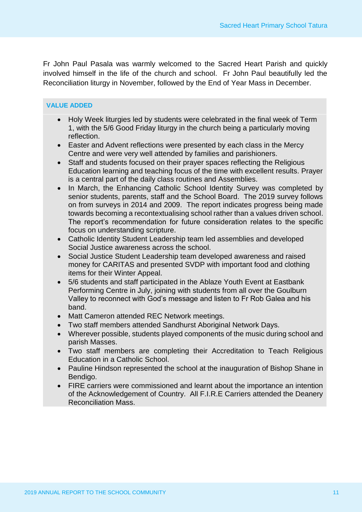Fr John Paul Pasala was warmly welcomed to the Sacred Heart Parish and quickly involved himself in the life of the church and school. Fr John Paul beautifully led the Reconciliation liturgy in November, followed by the End of Year Mass in December.

#### **VALUE ADDED**

- Holy Week liturgies led by students were celebrated in the final week of Term 1, with the 5/6 Good Friday liturgy in the church being a particularly moving reflection.
- Easter and Advent reflections were presented by each class in the Mercy Centre and were very well attended by families and parishioners.
- Staff and students focused on their prayer spaces reflecting the Religious Education learning and teaching focus of the time with excellent results. Prayer is a central part of the daily class routines and Assemblies.
- In March, the Enhancing Catholic School Identity Survey was completed by senior students, parents, staff and the School Board. The 2019 survey follows on from surveys in 2014 and 2009. The report indicates progress being made towards becoming a recontextualising school rather than a values driven school. The report's recommendation for future consideration relates to the specific focus on understanding scripture.
- Catholic Identity Student Leadership team led assemblies and developed Social Justice awareness across the school.
- Social Justice Student Leadership team developed awareness and raised money for CARITAS and presented SVDP with important food and clothing items for their Winter Appeal.
- 5/6 students and staff participated in the Ablaze Youth Event at Eastbank Performing Centre in July, joining with students from all over the Goulburn Valley to reconnect with God's message and listen to Fr Rob Galea and his band.
- Matt Cameron attended REC Network meetings.
- Two staff members attended Sandhurst Aboriginal Network Days.
- Wherever possible, students played components of the music during school and parish Masses.
- Two staff members are completing their Accreditation to Teach Religious Education in a Catholic School.
- Pauline Hindson represented the school at the inauguration of Bishop Shane in Bendigo.
- FIRE carriers were commissioned and learnt about the importance an intention of the Acknowledgement of Country. All F.I.R.E Carriers attended the Deanery Reconciliation Mass.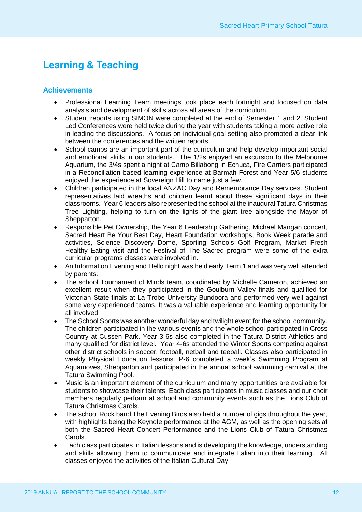## **Learning & Teaching**

#### **Achievements**

- Professional Learning Team meetings took place each fortnight and focused on data analysis and development of skills across all areas of the curriculum.
- Student reports using SIMON were completed at the end of Semester 1 and 2. Student Led Conferences were held twice during the year with students taking a more active role in leading the discussions. A focus on individual goal setting also promoted a clear link between the conferences and the written reports.
- School camps are an important part of the curriculum and help develop important social and emotional skills in our students. The 1/2s enjoyed an excursion to the Melbourne Aquarium, the 3/4s spent a night at Camp Billabong in Echuca, Fire Carriers participated in a Reconciliation based learning experience at Barmah Forest and Year 5/6 students enjoyed the experience at Sovereign Hill to name just a few.
- Children participated in the local ANZAC Day and Remembrance Day services. Student representatives laid wreaths and children learnt about these significant days in their classrooms. Year 6 leaders also represented the school at the inaugural Tatura Christmas Tree Lighting, helping to turn on the lights of the giant tree alongside the Mayor of Shepparton.
- Responsible Pet Ownership, the Year 6 Leadership Gathering, Michael Mangan concert, Sacred Heart Be Your Best Day, Heart Foundation workshops, Book Week parade and activities, Science Discovery Dome, Sporting Schools Golf Program, Market Fresh Healthy Eating visit and the Festival of The Sacred program were some of the extra curricular programs classes were involved in.
- An Information Evening and Hello night was held early Term 1 and was very well attended by parents.
- The school Tournament of Minds team, coordinated by Michelle Cameron, achieved an excellent result when they participated in the Goulburn Valley finals and qualified for Victorian State finals at La Trobe University Bundoora and performed very well against some very experienced teams. It was a valuable experience and learning opportunity for all involved.
- The School Sports was another wonderful day and twilight event for the school community. The children participated in the various events and the whole school participated in Cross Country at Cussen Park. Year 3-6s also completed in the Tatura District Athletics and many qualified for district level. Year 4-6s attended the Winter Sports competing against other district schools in soccer, football, netball and teeball. Classes also participated in weekly Physical Education lessons. P-6 completed a week's Swimming Program at Aquamoves, Shepparton and participated in the annual school swimming carnival at the Tatura Swimming Pool.
- Music is an important element of the curriculum and many opportunities are available for students to showcase their talents. Each class participates in music classes and our choir members regularly perform at school and community events such as the Lions Club of Tatura Christmas Carols.
- The school Rock band The Evening Birds also held a number of gigs throughout the year, with highlights being the Keynote performance at the AGM, as well as the opening sets at both the Sacred Heart Concert Performance and the Lions Club of Tatura Christmas Carols.
- Each class participates in Italian lessons and is developing the knowledge, understanding and skills allowing them to communicate and integrate Italian into their learning. All classes enjoyed the activities of the Italian Cultural Day.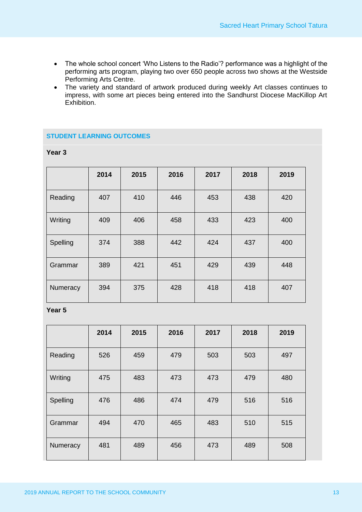- The whole school concert 'Who Listens to the Radio'? performance was a highlight of the performing arts program, playing two over 650 people across two shows at the Westside Performing Arts Centre.
- The variety and standard of artwork produced during weekly Art classes continues to impress, with some art pieces being entered into the Sandhurst Diocese MacKillop Art Exhibition.

#### **STUDENT LEARNING OUTCOMES**

| Year 3 |  |
|--------|--|
|--------|--|

|          | 2014 | 2015 | 2016 | 2017 | 2018 | 2019 |
|----------|------|------|------|------|------|------|
| Reading  | 407  | 410  | 446  | 453  | 438  | 420  |
| Writing  | 409  | 406  | 458  | 433  | 423  | 400  |
| Spelling | 374  | 388  | 442  | 424  | 437  | 400  |
| Grammar  | 389  | 421  | 451  | 429  | 439  | 448  |
| Numeracy | 394  | 375  | 428  | 418  | 418  | 407  |

**Year 5**

|          | 2014 | 2015 | 2016 | 2017 | 2018 | 2019 |
|----------|------|------|------|------|------|------|
| Reading  | 526  | 459  | 479  | 503  | 503  | 497  |
| Writing  | 475  | 483  | 473  | 473  | 479  | 480  |
| Spelling | 476  | 486  | 474  | 479  | 516  | 516  |
| Grammar  | 494  | 470  | 465  | 483  | 510  | 515  |
| Numeracy | 481  | 489  | 456  | 473  | 489  | 508  |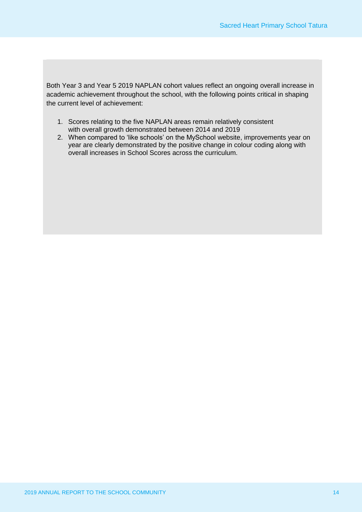Both Year 3 and Year 5 2019 NAPLAN cohort values reflect an ongoing overall increase in academic achievement throughout the school, with the following points critical in shaping the current level of achievement:

- 1. Scores relating to the five NAPLAN areas remain relatively consistent with overall growth demonstrated between 2014 and 2019
- 2. When compared to 'like schools' on the MySchool website, improvements year on year are clearly demonstrated by the positive change in colour coding along with overall increases in School Scores across the curriculum.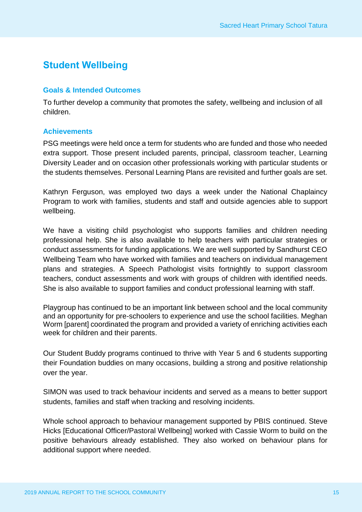## **Student Wellbeing**

#### **Goals & Intended Outcomes**

To further develop a community that promotes the safety, wellbeing and inclusion of all children.

#### **Achievements**

PSG meetings were held once a term for students who are funded and those who needed extra support. Those present included parents, principal, classroom teacher, Learning Diversity Leader and on occasion other professionals working with particular students or the students themselves. Personal Learning Plans are revisited and further goals are set.

Kathryn Ferguson, was employed two days a week under the National Chaplaincy Program to work with families, students and staff and outside agencies able to support wellbeing.

We have a visiting child psychologist who supports families and children needing professional help. She is also available to help teachers with particular strategies or conduct assessments for funding applications. We are well supported by Sandhurst CEO Wellbeing Team who have worked with families and teachers on individual management plans and strategies. A Speech Pathologist visits fortnightly to support classroom teachers, conduct assessments and work with groups of children with identified needs. She is also available to support families and conduct professional learning with staff.

Playgroup has continued to be an important link between school and the local community and an opportunity for pre-schoolers to experience and use the school facilities. Meghan Worm [parent] coordinated the program and provided a variety of enriching activities each week for children and their parents.

Our Student Buddy programs continued to thrive with Year 5 and 6 students supporting their Foundation buddies on many occasions, building a strong and positive relationship over the year.

SIMON was used to track behaviour incidents and served as a means to better support students, families and staff when tracking and resolving incidents.

Whole school approach to behaviour management supported by PBIS continued. Steve Hicks [Educational Officer/Pastoral Wellbeing] worked with Cassie Worm to build on the positive behaviours already established. They also worked on behaviour plans for additional support where needed.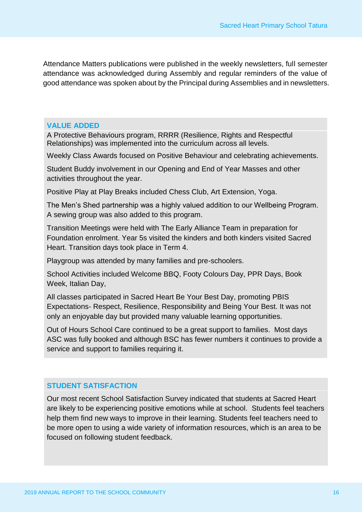Attendance Matters publications were published in the weekly newsletters, full semester attendance was acknowledged during Assembly and regular reminders of the value of good attendance was spoken about by the Principal during Assemblies and in newsletters.

#### **VALUE ADDED**

A Protective Behaviours program, RRRR (Resilience, Rights and Respectful Relationships) was implemented into the curriculum across all levels.

Weekly Class Awards focused on Positive Behaviour and celebrating achievements.

Student Buddy involvement in our Opening and End of Year Masses and other activities throughout the year.

Positive Play at Play Breaks included Chess Club, Art Extension, Yoga.

The Men's Shed partnership was a highly valued addition to our Wellbeing Program. A sewing group was also added to this program.

Transition Meetings were held with The Early Alliance Team in preparation for Foundation enrolment. Year 5s visited the kinders and both kinders visited Sacred Heart. Transition days took place in Term 4.

Playgroup was attended by many families and pre-schoolers.

School Activities included Welcome BBQ, Footy Colours Day, PPR Days, Book Week, Italian Day,

All classes participated in Sacred Heart Be Your Best Day, promoting PBIS Expectations- Respect, Resilience, Responsibility and Being Your Best. It was not only an enjoyable day but provided many valuable learning opportunities.

Out of Hours School Care continued to be a great support to families. Most days ASC was fully booked and although BSC has fewer numbers it continues to provide a service and support to families requiring it.

### **STUDENT SATISFACTION**

Our most recent School Satisfaction Survey indicated that students at Sacred Heart are likely to be experiencing positive emotions while at school. Students feel teachers help them find new ways to improve in their learning. Students feel teachers need to be more open to using a wide variety of information resources, which is an area to be focused on following student feedback.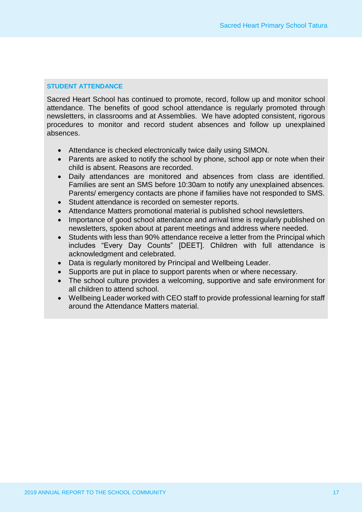#### **STUDENT ATTENDANCE**

Sacred Heart School has continued to promote, record, follow up and monitor school attendance. The benefits of good school attendance is regularly promoted through newsletters, in classrooms and at Assemblies. We have adopted consistent, rigorous procedures to monitor and record student absences and follow up unexplained absences.

- Attendance is checked electronically twice daily using SIMON.
- Parents are asked to notify the school by phone, school app or note when their child is absent. Reasons are recorded.
- Daily attendances are monitored and absences from class are identified. Families are sent an SMS before 10:30am to notify any unexplained absences. Parents/ emergency contacts are phone if families have not responded to SMS.
- Student attendance is recorded on semester reports.
- Attendance Matters promotional material is published school newsletters.
- Importance of good school attendance and arrival time is regularly published on newsletters, spoken about at parent meetings and address where needed.
- Students with less than 90% attendance receive a letter from the Principal which includes "Every Day Counts" [DEET]. Children with full attendance is acknowledgment and celebrated.
- Data is regularly monitored by Principal and Wellbeing Leader.
- Supports are put in place to support parents when or where necessary.
- The school culture provides a welcoming, supportive and safe environment for all children to attend school.
- Wellbeing Leader worked with CEO staff to provide professional learning for staff around the Attendance Matters material.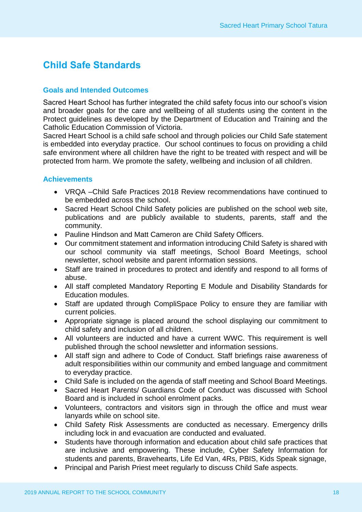## **Child Safe Standards**

#### **Goals and Intended Outcomes**

Sacred Heart School has further integrated the child safety focus into our school's vision and broader goals for the care and wellbeing of all students using the content in the Protect guidelines as developed by the Department of Education and Training and the Catholic Education Commission of Victoria.

Sacred Heart School is a child safe school and through policies our Child Safe statement is embedded into everyday practice. Our school continues to focus on providing a child safe environment where all children have the right to be treated with respect and will be protected from harm. We promote the safety, wellbeing and inclusion of all children.

#### **Achievements**

- VRQA –Child Safe Practices 2018 Review recommendations have continued to be embedded across the school.
- Sacred Heart School Child Safety policies are published on the school web site, publications and are publicly available to students, parents, staff and the community.
- Pauline Hindson and Matt Cameron are Child Safety Officers.
- Our commitment statement and information introducing Child Safety is shared with our school community via staff meetings, School Board Meetings, school newsletter, school website and parent information sessions.
- Staff are trained in procedures to protect and identify and respond to all forms of abuse.
- All staff completed Mandatory Reporting E Module and Disability Standards for Education modules.
- Staff are updated through CompliSpace Policy to ensure they are familiar with current policies.
- Appropriate signage is placed around the school displaying our commitment to child safety and inclusion of all children.
- All volunteers are inducted and have a current WWC. This requirement is well published through the school newsletter and information sessions.
- All staff sign and adhere to Code of Conduct. Staff briefings raise awareness of adult responsibilities within our community and embed language and commitment to everyday practice.
- Child Safe is included on the agenda of staff meeting and School Board Meetings.
- Sacred Heart Parents/ Guardians Code of Conduct was discussed with School Board and is included in school enrolment packs.
- Volunteers, contractors and visitors sign in through the office and must wear lanyards while on school site.
- Child Safety Risk Assessments are conducted as necessary. Emergency drills including lock in and evacuation are conducted and evaluated.
- Students have thorough information and education about child safe practices that are inclusive and empowering. These include, Cyber Safety Information for students and parents, Bravehearts, Life Ed Van, 4Rs, PBIS, Kids Speak signage,
- Principal and Parish Priest meet regularly to discuss Child Safe aspects.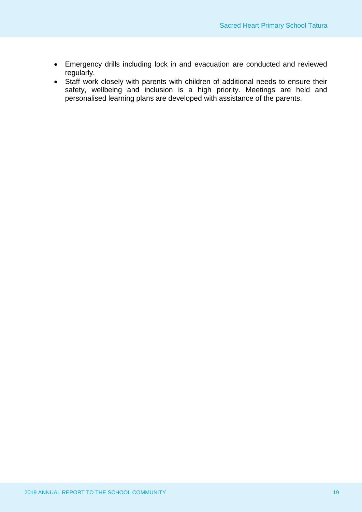- Emergency drills including lock in and evacuation are conducted and reviewed regularly.
- Staff work closely with parents with children of additional needs to ensure their safety, wellbeing and inclusion is a high priority. Meetings are held and personalised learning plans are developed with assistance of the parents.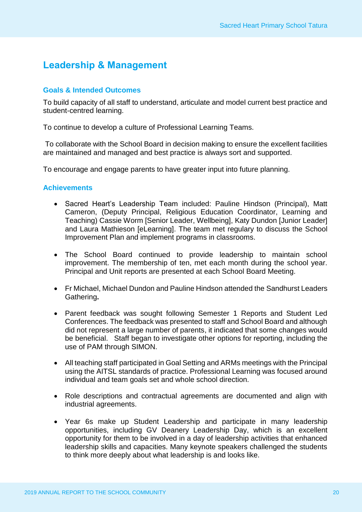## **Leadership & Management**

#### **Goals & Intended Outcomes**

To build capacity of all staff to understand, articulate and model current best practice and student-centred learning.

To continue to develop a culture of Professional Learning Teams.

To collaborate with the School Board in decision making to ensure the excellent facilities are maintained and managed and best practice is always sort and supported.

To encourage and engage parents to have greater input into future planning.

#### **Achievements**

- Sacred Heart's Leadership Team included: Pauline Hindson (Principal), Matt Cameron, (Deputy Principal, Religious Education Coordinator, Learning and Teaching) Cassie Worm [Senior Leader, Wellbeing], Katy Dundon [Junior Leader] and Laura Mathieson [eLearning]. The team met regulary to discuss the School Improvement Plan and implement programs in classrooms.
- The School Board continued to provide leadership to maintain school improvement. The membership of ten, met each month during the school year. Principal and Unit reports are presented at each School Board Meeting.
- Fr Michael, Michael Dundon and Pauline Hindson attended the Sandhurst Leaders Gathering**.**
- Parent feedback was sought following Semester 1 Reports and Student Led Conferences. The feedback was presented to staff and School Board and although did not represent a large number of parents, it indicated that some changes would be beneficial. Staff began to investigate other options for reporting, including the use of PAM through SIMON.
- All teaching staff participated in Goal Setting and ARMs meetings with the Principal using the AITSL standards of practice. Professional Learning was focused around individual and team goals set and whole school direction.
- Role descriptions and contractual agreements are documented and align with industrial agreements.
- Year 6s make up Student Leadership and participate in many leadership opportunities, including GV Deanery Leadership Day, which is an excellent opportunity for them to be involved in a day of leadership activities that enhanced leadership skills and capacities. Many keynote speakers challenged the students to think more deeply about what leadership is and looks like.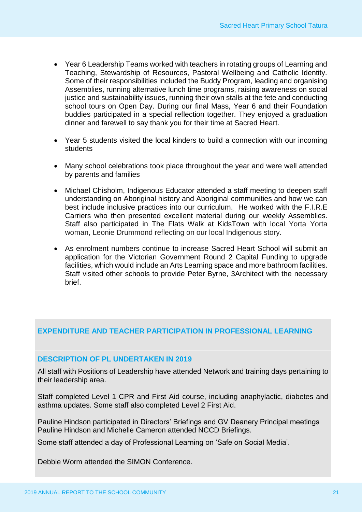- Year 6 Leadership Teams worked with teachers in rotating groups of Learning and Teaching, Stewardship of Resources, Pastoral Wellbeing and Catholic Identity. Some of their responsibilities included the Buddy Program, leading and organising Assemblies, running alternative lunch time programs, raising awareness on social justice and sustainability issues, running their own stalls at the fete and conducting school tours on Open Day. During our final Mass, Year 6 and their Foundation buddies participated in a special reflection together. They enjoyed a graduation dinner and farewell to say thank you for their time at Sacred Heart.
- Year 5 students visited the local kinders to build a connection with our incoming students
- Many school celebrations took place throughout the year and were well attended by parents and families
- Michael Chisholm, Indigenous Educator attended a staff meeting to deepen staff understanding on Aboriginal history and Aboriginal communities and how we can best include inclusive practices into our curriculum. He worked with the F.I.R.E Carriers who then presented excellent material during our weekly Assemblies. Staff also participated in The Flats Walk at KidsTown with local Yorta Yorta woman, Leonie Drummond reflecting on our local Indigenous story.
- As enrolment numbers continue to increase Sacred Heart School will submit an application for the Victorian Government Round 2 Capital Funding to upgrade facilities, which would include an Arts Learning space and more bathroom facilities. Staff visited other schools to provide Peter Byrne, 3Architect with the necessary brief.

### **EXPENDITURE AND TEACHER PARTICIPATION IN PROFESSIONAL LEARNING**

#### **DESCRIPTION OF PL UNDERTAKEN IN 2019**

All staff with Positions of Leadership have attended Network and training days pertaining to their leadership area.

Staff completed Level 1 CPR and First Aid course, including anaphylactic, diabetes and asthma updates. Some staff also completed Level 2 First Aid.

Pauline Hindson participated in Directors' Briefings and GV Deanery Principal meetings Pauline Hindson and Michelle Cameron attended NCCD Briefings.

Some staff attended a day of Professional Learning on 'Safe on Social Media'.

Debbie Worm attended the SIMON Conference.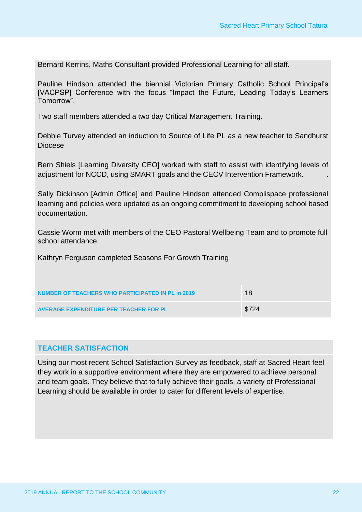Bernard Kerrins, Maths Consultant provided Professional Learning for all staff.

Pauline Hindson attended the biennial Victorian Primary Catholic School Principal's [VACPSP] Conference with the focus "Impact the Future, Leading Today's Learners Tomorrow".

Two staff members attended a two day Critical Management Training.

Debbie Turvey attended an induction to Source of Life PL as a new teacher to Sandhurst Diocese

Bern Shiels [Learning Diversity CEO] worked with staff to assist with identifying levels of adjustment for NCCD, using SMART goals and the CECV Intervention Framework. .

Sally Dickinson [Admin Office] and Pauline Hindson attended Complispace professional learning and policies were updated as an ongoing commitment to developing school based documentation.

Cassie Worm met with members of the CEO Pastoral Wellbeing Team and to promote full school attendance.

Kathryn Ferguson completed Seasons For Growth Training

| NUMBER OF TEACHERS WHO PARTICIPATED IN PL in 2019 | 18    |
|---------------------------------------------------|-------|
| AVERAGE EXPENDITURE PER TEACHER FOR PL            | \$724 |

### **TEACHER SATISFACTION**

Using our most recent School Satisfaction Survey as feedback, staff at Sacred Heart feel they work in a supportive environment where they are empowered to achieve personal and team goals. They believe that to fully achieve their goals, a variety of Professional Learning should be available in order to cater for different levels of expertise.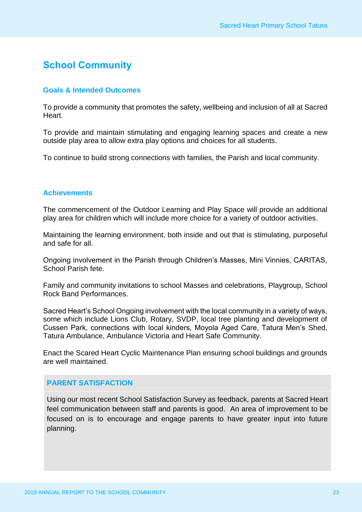## **School Community**

#### **Goals & Intended Outcomes**

To provide a community that promotes the safety, wellbeing and inclusion of all at Sacred Heart.

To provide and maintain stimulating and engaging learning spaces and create a new outside play area to allow extra play options and choices for all students.

To continue to build strong connections with families, the Parish and local community.

#### **Achievements**

The commencement of the Outdoor Learning and Play Space will provide an additional play area for children which will include more choice for a variety of outdoor activities.

Maintaining the learning environment, both inside and out that is stimulating, purposeful and safe for all.

Ongoing involvement in the Parish through Children's Masses, Mini Vinnies, CARITAS, School Parish fete.

Family and community invitations to school Masses and celebrations, Playgroup, School Rock Band Performances.

Sacred Heart's School Ongoing involvement with the local community in a variety of ways, some which include Lions Club, Rotary, SVDP, local tree planting and development of Cussen Park, connections with local kinders, Moyola Aged Care, Tatura Men's Shed, Tatura Ambulance, Ambulance Victoria and Heart Safe Community.

Enact the Scared Heart Cyclic Maintenance Plan ensuring school buildings and grounds are well maintained.

#### **PARENT SATISFACTION**

Using our most recent School Satisfaction Survey as feedback, parents at Sacred Heart feel communication between staff and parents is good. An area of improvement to be focused on is to encourage and engage parents to have greater input into future planning.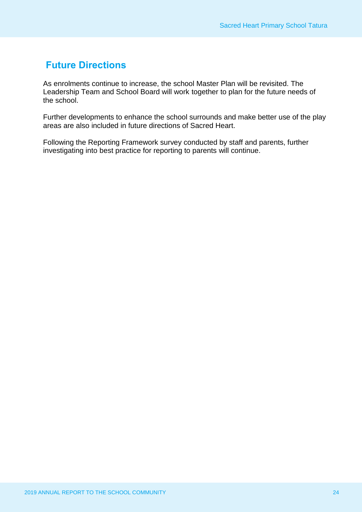## **Future Directions**

As enrolments continue to increase, the school Master Plan will be revisited. The Leadership Team and School Board will work together to plan for the future needs of the school.

Further developments to enhance the school surrounds and make better use of the play areas are also included in future directions of Sacred Heart.

Following the Reporting Framework survey conducted by staff and parents, further investigating into best practice for reporting to parents will continue.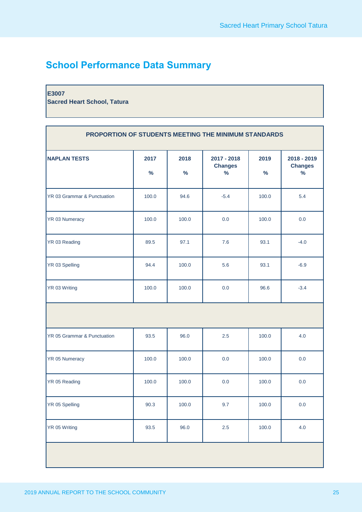## **School Performance Data Summary**

#### **E3007**

**Sacred Heart School, Tatura**

| PROPORTION OF STUDENTS MEETING THE MINIMUM STANDARDS |              |                       |                                       |              |                                       |
|------------------------------------------------------|--------------|-----------------------|---------------------------------------|--------------|---------------------------------------|
| <b>NAPLAN TESTS</b>                                  | 2017<br>$\%$ | 2018<br>$\frac{9}{6}$ | 2017 - 2018<br><b>Changes</b><br>$\%$ | 2019<br>$\%$ | 2018 - 2019<br><b>Changes</b><br>$\%$ |
| YR 03 Grammar & Punctuation                          | 100.0        | 94.6                  | $-5.4$                                | 100.0        | 5.4                                   |
| YR 03 Numeracy                                       | 100.0        | 100.0                 | 0.0                                   | 100.0        | 0.0                                   |
| YR 03 Reading                                        | 89.5         | 97.1                  | 7.6                                   | 93.1         | $-4.0$                                |
| YR 03 Spelling                                       | 94.4         | 100.0                 | 5.6                                   | 93.1         | $-6.9$                                |
| YR 03 Writing                                        | 100.0        | 100.0                 | 0.0                                   | 96.6         | $-3.4$                                |
|                                                      |              |                       |                                       |              |                                       |
| YR 05 Grammar & Punctuation                          | 93.5         | 96.0                  | 2.5                                   | 100.0        | 4.0                                   |
| YR 05 Numeracy                                       | 100.0        | 100.0                 | 0.0                                   | 100.0        | 0.0                                   |
| YR 05 Reading                                        | 100.0        | 100.0                 | 0.0                                   | 100.0        | 0.0                                   |
| YR 05 Spelling                                       | 90.3         | 100.0                 | 9.7                                   | 100.0        | 0.0                                   |
| YR 05 Writing                                        | 93.5         | 96.0                  | 2.5                                   | 100.0        | 4.0                                   |
|                                                      |              |                       |                                       |              |                                       |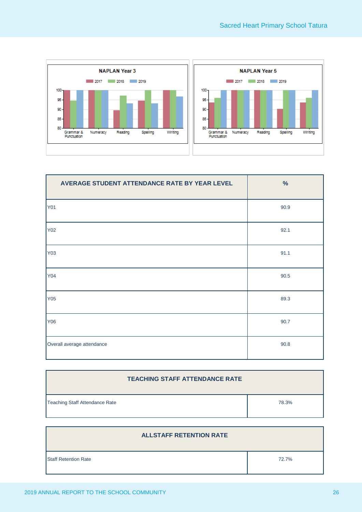

| AVERAGE STUDENT ATTENDANCE RATE BY YEAR LEVEL | $\%$ |
|-----------------------------------------------|------|
| <b>Y01</b>                                    | 90.9 |
| <b>Y02</b>                                    | 92.1 |
| Y03                                           | 91.1 |
| <b>Y04</b>                                    | 90.5 |
| <b>Y05</b>                                    | 89.3 |
| Y06                                           | 90.7 |
| Overall average attendance                    | 90.8 |

| <b>TEACHING STAFF ATTENDANCE RATE</b> |       |  |  |
|---------------------------------------|-------|--|--|
| Teaching Staff Attendance Rate        | 78.3% |  |  |

| <b>ALLSTAFF RETENTION RATE</b> |       |
|--------------------------------|-------|
| <b>Staff Retention Rate</b>    | 72.7% |